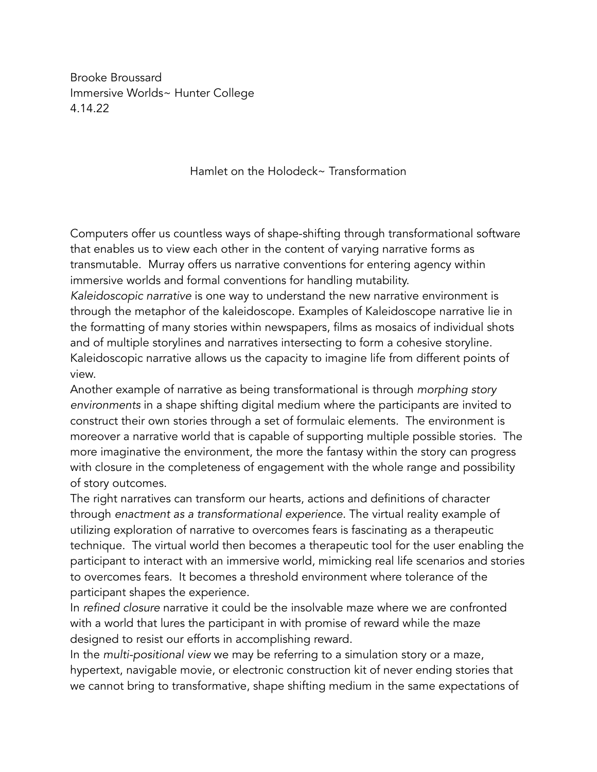Brooke Broussard Immersive Worlds~ Hunter College 4.14.22

Hamlet on the Holodeck~ Transformation

Computers offer us countless ways of shape-shifting through transformational software that enables us to view each other in the content of varying narrative forms as transmutable. Murray offers us narrative conventions for entering agency within immersive worlds and formal conventions for handling mutability.

*Kaleidoscopic narrative* is one way to understand the new narrative environment is through the metaphor of the kaleidoscope. Examples of Kaleidoscope narrative lie in the formatting of many stories within newspapers, films as mosaics of individual shots and of multiple storylines and narratives intersecting to form a cohesive storyline. Kaleidoscopic narrative allows us the capacity to imagine life from different points of view.

Another example of narrative as being transformational is through *morphing story environments* in a shape shifting digital medium where the participants are invited to construct their own stories through a set of formulaic elements. The environment is moreover a narrative world that is capable of supporting multiple possible stories. The more imaginative the environment, the more the fantasy within the story can progress with closure in the completeness of engagement with the whole range and possibility of story outcomes.

The right narratives can transform our hearts, actions and definitions of character through *enactment as a transformational experience.* The virtual reality example of utilizing exploration of narrative to overcomes fears is fascinating as a therapeutic technique. The virtual world then becomes a therapeutic tool for the user enabling the participant to interact with an immersive world, mimicking real life scenarios and stories to overcomes fears. It becomes a threshold environment where tolerance of the participant shapes the experience.

In *refined closure* narrative it could be the insolvable maze where we are confronted with a world that lures the participant in with promise of reward while the maze designed to resist our efforts in accomplishing reward.

In the *multi-positional view* we may be referring to a simulation story or a maze, hypertext, navigable movie, or electronic construction kit of never ending stories that we cannot bring to transformative, shape shifting medium in the same expectations of